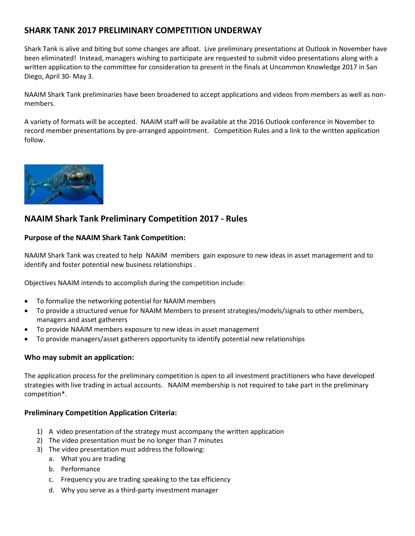# **SHARK TANK 2017 PRELIMINARY COMPETITION UNDERWAY**

Shark Tank is alive and biting but some changes are afloat. Live preliminary presentations at Outlook in November have been eliminated! Instead, managers wishing to participate are requested to submit video presentations along with a written application to the committee for consideration to present in the finals at Uncommon Knowledge 2017 in San Diego, April 30- May 3.

NAAIM Shark Tank preliminaries have been broadened to accept applications and videos from members as well as nonmembers.

A variety of formats will be accepted. NAAIM staff will be available at the 2016 Outlook conference in November to record member presentations by pre-arranged appointment. Competition Rules and a link to the written application follow.



# **NAAIM Shark Tank Preliminary Competition 2017 - Rules**

## **Purpose of the NAAIM Shark Tank Competition:**

NAAIM Shark Tank was created to help NAAIM members gain exposure to new ideas in asset management and to identify and foster potential new business relationships .

Objectives NAAIM intends to accomplish during the competition include:

- To formalize the networking potential for NAAIM members
- To provide a structured venue for NAAIM Members to present strategies/models/signals to other members, managers and asset gatherers
- To provide NAAIM members exposure to new ideas in asset management
- To provide managers/asset gatherers opportunity to identify potential new relationships

## **Who may submit an application:**

The application process for the preliminary competition is open to all investment practitioners who have developed strategies with live trading in actual accounts. NAAIM membership is not required to take part in the preliminary competition\*.

## **Preliminary Competition Application Criteria:**

- 1) A video presentation of the strategy must accompany the written application
- 2) The video presentation must be no longer than 7 minutes
- 3) The video presentation must address the following:
	- a. What you are trading
	- b. Performance
	- c. Frequency you are trading speaking to the tax efficiency
	- d. Why you serve as a third-party investment manager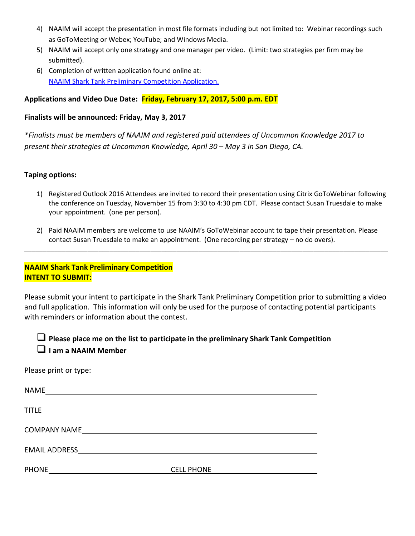- 4) NAAIM will accept the presentation in most file formats including but not limited to: Webinar recordings such as GoToMeeting or Webex; YouTube; and Windows Media.
- 5) NAAIM will accept only one strategy and one manager per video. (Limit: two strategies per firm may be submitted).
- 6) Completion of written application found online at: NAAIM Shark Tank [Preliminary Competition Application.](https://goo.gl/forms/iWRit7aM5GEVLuVa2)

## **Applications and Video Due Date: Friday, February 17, 2017, 5:00 p.m. EDT**

## **Finalists will be announced: Friday, May 3, 2017**

*\*Finalists must be members of NAAIM and registered paid attendees of Uncommon Knowledge 2017 to present their strategies at Uncommon Knowledge, April 30 – May 3 in San Diego, CA.*

## **Taping options:**

- 1) Registered Outlook 2016 Attendees are invited to record their presentation using Citrix GoToWebinar following the conference on Tuesday, November 15 from 3:30 to 4:30 pm CDT. Please contact Susan Truesdale to make your appointment. (one per person).
- 2) Paid NAAIM members are welcome to use NAAIM's GoToWebinar account to tape their presentation. Please contact Susan Truesdale to make an appointment. (One recording per strategy – no do overs).

\_\_\_\_\_\_\_\_\_\_\_\_\_\_\_\_\_\_\_\_\_\_\_\_\_\_\_\_\_\_\_\_\_\_\_\_\_\_\_\_\_\_\_\_\_\_\_\_\_\_\_\_\_\_\_\_\_\_\_\_\_\_\_\_\_\_\_\_\_\_\_\_\_\_\_\_\_\_\_\_\_\_\_\_\_\_\_\_\_\_\_\_\_\_\_\_\_\_

## **NAAIM Shark Tank Preliminary Competition INTENT TO SUBMIT:**

Please submit your intent to participate in the Shark Tank Preliminary Competition prior to submitting a video and full application. This information will only be used for the purpose of contacting potential participants with reminders or information about the contest.

 **Please place me on the list to participate in the preliminary Shark Tank Competition I am a NAAIM Member**

Please print or type:

| <b>NAME</b>          |                   |  |
|----------------------|-------------------|--|
| <b>TITLE</b>         |                   |  |
| <b>COMPANY NAME</b>  |                   |  |
| <b>EMAIL ADDRESS</b> |                   |  |
| <b>PHONE</b>         | <b>CELL PHONE</b> |  |